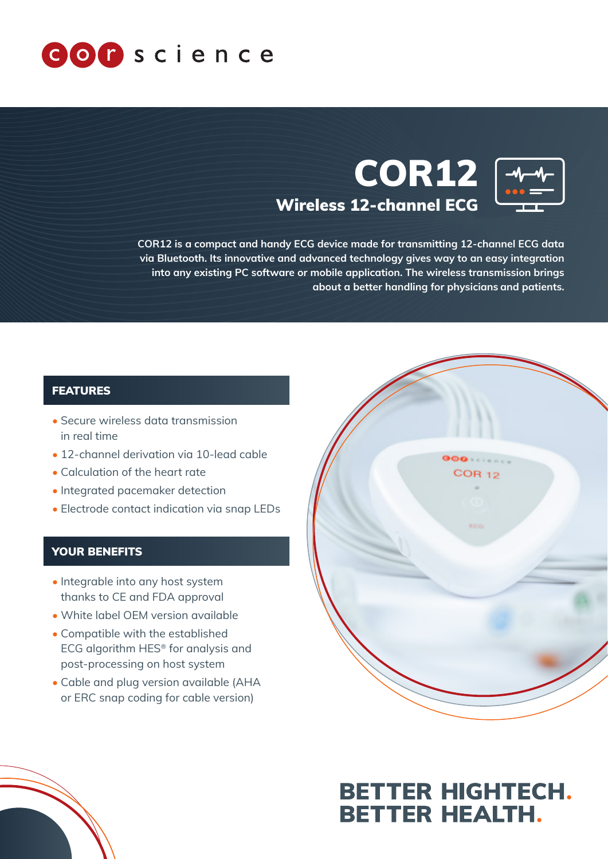

# Wireless 12-channel ECG COR12



COR12 is a compact and handy ECG device made for transmitting 12-channel ECG data via Bluetooth. Its innovative and advanced technology gives way to an easy integration into any existing PC software or mobile application. The wireless transmission brings about a better handling for physicians and patients.

#### FEATURES

- Secure wireless data transmission in real time
- 12-channel derivation via 10-lead cable
- Calculation of the heart rate
- Integrated pacemaker detection
- Electrode contact indication via snap LEDs

### YOUR BENEFITS

- Integrable into any host system thanks to CE and FDA approval
- White label OEM version available
- Compatible with the established ECG algorithm HES® for analysis and post-processing on host system
- Cable and plug version available (AHA or ERC snap coding for cable version)



## **BETTER HIGHTECH. BETTER HEALTH.**